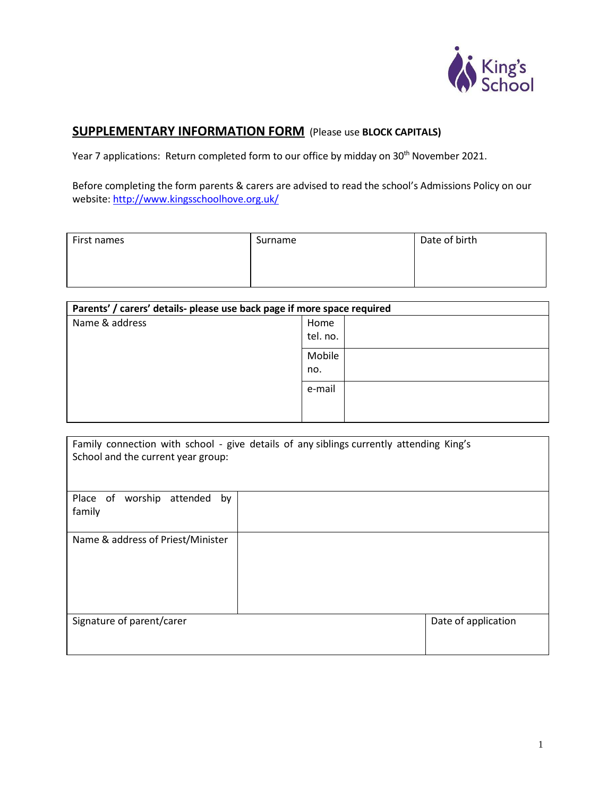

## **SUPPLEMENTARY INFORMATION FORM** (Please use **BLOCK CAPITALS)**

Year 7 applications: Return completed form to our office by midday on 30<sup>th</sup> November 2021.

Before completing the form parents & carers are advised to read the school's Admissions Policy on our website: <http://www.kingsschoolhove.org.uk/>

| First names | Surname | Date of birth |
|-------------|---------|---------------|
|             |         |               |
|             |         |               |

| Parents' / carers' details- please use back page if more space required |          |  |  |  |
|-------------------------------------------------------------------------|----------|--|--|--|
| Name & address                                                          | Home     |  |  |  |
|                                                                         | tel. no. |  |  |  |
|                                                                         | Mobile   |  |  |  |
|                                                                         | no.      |  |  |  |
|                                                                         | e-mail   |  |  |  |
|                                                                         |          |  |  |  |
|                                                                         |          |  |  |  |

| Family connection with school - give details of any siblings currently attending King's<br>School and the current year group: |                     |
|-------------------------------------------------------------------------------------------------------------------------------|---------------------|
| Place of worship<br>attended<br>by<br>family                                                                                  |                     |
| Name & address of Priest/Minister                                                                                             |                     |
| Signature of parent/carer                                                                                                     | Date of application |